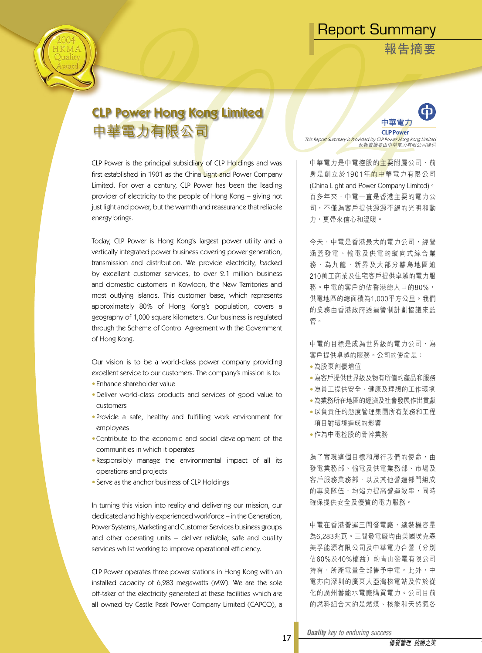**報告摘要**



# CLP Power Hong Kong Limited 中華電力有限公司

CLP Power is the principal subsidiary of CLP Holdings and was first established in 1901 as the China Light and Power Company Limited. For over a century, CLP Power has been the leading provider of electricity to the people of Hong Kong – giving not just light and power, but the warmth and reassurance that reliable energy brings.

Today, CLP Power is Hong Kong's largest power utility and a vertically integrated power business covering power generation, transmission and distribution. We provide electricity, backed by excellent customer services, to over 2.1 million business and domestic customers in Kowloon, the New Territories and most outlying islands. This customer base, which represents approximately 80% of Hong Kong's population, covers a geography of 1,000 square kilometers. Our business is regulated through the Scheme of Control Agreement with the Government of Hong Kong.

Our vision is to be a world-class power company providing excellent service to our customers. The company's mission is to:

- Enhance shareholder value
- Deliver world-class products and services of good value to customers
- Provide a safe, healthy and fulfilling work environment for employees
- Contribute to the economic and social development of the communities in which it operates
- Responsibly manage the environmental impact of all its operations and projects
- Serve as the anchor business of CLP Holdings

In turning this vision into reality and delivering our mission, our dedicated and highly experienced workforce – in the Generation, Power Systems, Marketing and Customer Services business groups and other operating units – deliver reliable, safe and quality services whilst working to improve operational efficiency.

CLP Power operates three power stations in Hong Kong with an installed capacity of 6,283 megawatts (MW). We are the sole off-taker of the electricity generated at these facilities which are all owned by Castle Peak Power Company Limited (CAPCO), a



This Repo<mark>rt S</mark>ummary is <mark>Pr</mark>ovided by CLP Powe<mark>r H</mark>ong Kong Limited<br>此報告摘要由中華電力有限公司提供

中華電力是中電控股的主要附屬公司,前 身是創立於1901年的中華電力有限公司 (China Light and Power Company Limited)。 百多年來,中電一直是香港主要的電力公 司,不僅為客戶提供源源不絕的光明和動 力,更帶來信心和溫暖。

今天,中電是香港最大的電力公司,經營 涵蓋發電、輸電及供電的縱向式綜合業 務 , 為 九 龍 、 新 界 及 大 部 分 離 島 地 區 逾 210萬工商業及住宅客戶提供卓越的電力服 務。中電的客戶約佔香港總人口的80%, 供電地區的總面積為1,000平方公里。我們 的業務由香港政府透過管制計劃協議來監 管。

中電的目標是成為世界級的電力公司,為 客戶提供卓越的服務。公司的使命是:

- 為股東創優增值
- 為客戶提供世界級及物有所值的產品和服務
- 為員工提供安全、健康及理想的工作環境
- 為業務所在地區的經濟及社會發展作出貢獻
- 以負責任的態度管理集團所有業務和工程 項目對環境造成的影響
- 作為中電控股的骨幹業務

為了實現這個目標和履行我們的使命,由 發電業務部、輸電及供電業務部、市場及 客戶服務業務部,以及其他營運部門組成 的專業隊伍,均竭力提高營運效率,同時 確保提供安全及優質的電力服務。

中電在香港營運三間發電廠,總裝機容量 為6,283兆瓦。三間發電廠均由美國埃克森 美孚能源有限公司及中華電力合營(分別 佔60%及40%權益)的青山發電有限公司 持有,所產電量全部售予中電。此外,中 電亦向深圳的廣東大亞灣核電站及位於從 化的廣州蓄能水電廠購買電力。公司目前 的燃料組合大約是燃煤、核能和天然氣各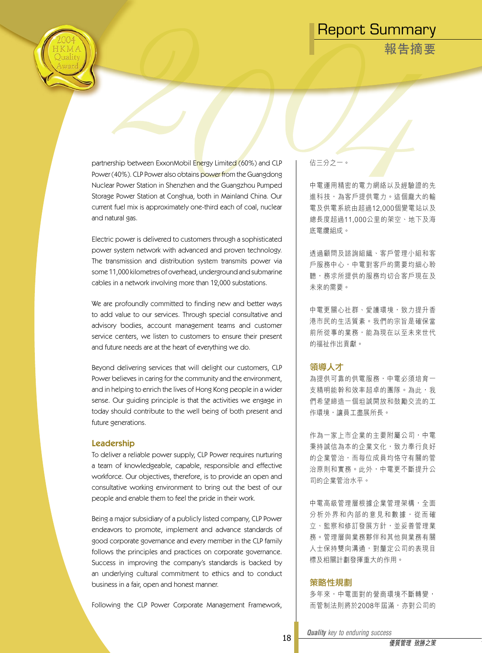**報告摘要**



partnership between ExxonMobil Energy Limited (60%) and CLP Power (40%). CLP Power also obtains power from the Guangdong Nuclear Power Station in Shenzhen and the Guangzhou Pumped Storage Power Station at Conghua, both in Mainland China. Our current fuel mix is approximately one-third each of coal, nuclear and natural gas.

Electric power is delivered to customers through a sophisticated power system network with advanced and proven technology. The transmission and distribution system transmits power via some 11,000 kilometres of overhead, underground and submarine cables in a network involving more than 12,000 substations.

We are profoundly committed to finding new and better ways to add value to our services. Through special consultative and advisory bodies, account management teams and customer service centers, we listen to customers to ensure their present and future needs are at the heart of everything we do.

Beyond delivering services that will delight our customers, CLP Power believes in caring for the community and the environment, and in helping to enrich the lives of Hong Kong people in a wider sense. Our guiding principle is that the activities we engage in today should contribute to the well being of both present and future generations.

#### Leadership

To deliver a reliable power supply, CLP Power requires nurturing a team of knowledgeable, capable, responsible and effective workforce. Our objectives, therefore, is to provide an open and consultative working environment to bring out the best of our people and enable them to feel the pride in their work.

Being a major subsidiary of a publicly listed company, CLP Power endeavors to promote, implement and advance standards of good corporate governance and every member in the CLP family follows the principles and practices on corporate governance. Success in improving the company's standards is backed by an underlying cultural commitment to ethics and to conduct business in a fair, open and honest manner.

Following the CLP Power Corporate Management Framework,

佔三分之一。

中電運用精密的電力網絡以及經驗證的先 進科技,為客戶提供電力。這個龐大的輸 電及供電系統由超過12,000個變電站以及 總長度超過11,000公里的架空、地下及海 底電纜組成。

透過顧問及諮詢組織、客戶管理小組和客 戶服務中心,中電對客戶的需要均細心聆 聽,務求所提供的服務均切合客戶現在及 未來的需要。

中電更關心社群、愛護環境,致力提升香 港市民的生活質素。我們的宗旨是確保當 前所從事的業務,能為現在以至未來世代 的福祉作出貢獻。

#### 領導人才

為提供可靠的供電服務,中電必須培育一 支精明能幹和效率超卓的團隊。為此,我 們希望締造一個坦誠開放和鼓勵交流的工 作環境,讓員工盡展所長。

作為一家上市企業的主要附屬公司,中電 秉持誠信為本的企業文化,致力奉行良好 的企業管治,而每位成員均恪守有關的管 治原則和實務。此外,中電更不斷提升公 司的企業管治水平。

中電高級管理層根據企業管理架構,全面 分析外界和內部的意見和數據, 從而確 立、監察和修訂發展方針,並妥善管理業 務。管理層與業務夥伴和其他與業務有關 人士保持雙向溝通,對釐定公司的表現目 標及相關計劃發揮重大的作用。

#### 策略性規劃

多年來,中電面對的營商環境不斷轉變, 而管制法則將於2008年屆滿,亦對公司的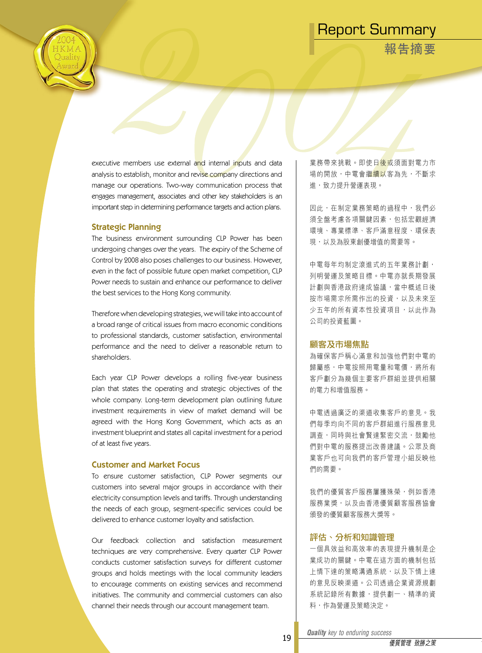**報告摘要**

executive members use external and internal inputs and data analysis to establish, monitor and revise company directions and manage our operations. Two-way communication process that engages management, associates and other key stakeholders is an important step in determining performance targets and action plans.

#### Strategic Planning

The business environment surrounding CLP Power has been undergoing changes over the years. The expiry of the Scheme of Control by 2008 also poses challenges to our business. However, even in the fact of possible future open market competition, CLP Power needs to sustain and enhance our performance to deliver the best services to the Hong Kong community.

Therefore when developing strategies, we will take into account of a broad range of critical issues from macro economic conditions to professional standards, customer satisfaction, environmental performance and the need to deliver a reasonable return to shareholders.

Each year CLP Power develops a rolling five-year business plan that states the operating and strategic objectives of the whole company. Long-term development plan outlining future investment requirements in view of market demand will be agreed with the Hong Kong Government, which acts as an investment blueprint and states all capital investment for a period of at least five years.

### Customer and Market Focus

To ensure customer satisfaction, CLP Power segments our customers into several major groups in accordance with their electricity consumption levels and tariffs. Through understanding the needs of each group, segment-specific services could be delivered to enhance customer loyalty and satisfaction.

Our feedback collection and satisfaction measurement techniques are very comprehensive. Every quarter CLP Power conducts customer satisfaction surveys for different customer groups and holds meetings with the local community leaders to encourage comments on existing services and recommend initiatives. The community and commercial customers can also channel their needs through our account management team.

業務帶來挑戰。即使日後或須面對電力市 場的開放,中電會繼<mark>續以</mark>客為先,不斷求 進,致力提升營運表現。

因此,在制定業務策略的過程中,我們必 須全盤考慮各項關鍵因素,包括宏觀經濟 環境、專業標準、客戶滿意程度、環保表 現,以及為股東創優增值的需要等。

中電每年均制定滾進式的五年業務計劃, 列明營運及策略目標。中電亦就長期發展 計劃與香港政府達成協議,當中概述日後 按市場需求所需作出的投資,以及未來至 少五年的所有資本性投資項目,以此作為 公司的投資藍圖。

#### 顧客及市場焦點

為確保客戶稱心滿意和加強他們對中電的 歸屬感,中電按照用電量和電價,將所有 客戶劃分為幾個主要客戶群組並提供相關 的電力和增值服務。

中電透過廣泛的渠道收集客戶的意見。我 們每季均向不同的客戶群組進行服務意見 調查,同時與社會賢達緊密交流,鼓勵他 們對中電的服務提出改善建議。公眾及商 業客戶也可向我們的客戶管理小組反映他 們的需要。

我們的優質客戶服務屢獲殊榮,例如香港 服務業獎,以及由香港優質顧客服務協會 頒發的優質顧客服務大獎等。

#### 評估、分析和知識管理

一個具效益和高效率的表現提升機制是企 業成功的關鍵。中電在這方面的機制包括 上情下達的策略溝通系統,以及下情上達 的意見反映渠道。公司透過企業資源規劃 系統記錄所有數據,提供劃一、精準的資 料,作為營運及策略決定。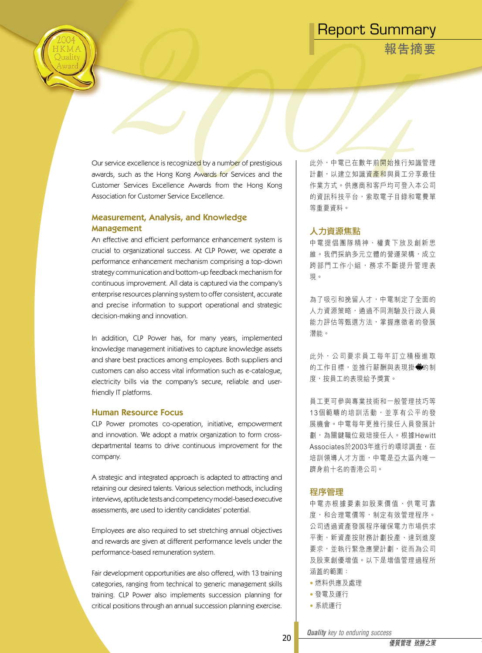**報告摘要**

Our service excellence is recognized by a number of prestigious awards, such as the Hong Kong Awards for Services and the Customer Services Excellence Awards from the Hong Kong Association for Customer Service Excellence.

### Measurement, Analysis, and Knowledge Management

An effective and efficient performance enhancement system is crucial to organizational success. At CLP Power, we operate a performance enhancement mechanism comprising a top-down strategy communication and bottom-up feedback mechanism for continuous improvement. All data is captured via the company's enterprise resources planning system to offer consistent, accurate and precise information to support operational and strategic decision-making and innovation.

In addition, CLP Power has, for many years, implemented knowledge management initiatives to capture knowledge assets and share best practices among employees. Both suppliers and customers can also access vital information such as e-catalogue, electricity bills via the company's secure, reliable and userfriendly IT platforms.

#### Human Resource Focus

CLP Power promotes co-operation, initiative, empowerment and innovation. We adopt a matrix organization to form crossdepartmental teams to drive continuous improvement for the company.

A strategic and integrated approach is adapted to attracting and retaining our desired talents. Various selection methods, including interviews, aptitude tests and competency model-based executive assessments, are used to identity candidates' potential.

Employees are also required to set stretching annual objectives and rewards are given at different performance levels under the performance-based remuneration system.

Fair development opportunities are also offered, with 13 training categories, ranging from technical to generic management skills training. CLP Power also implements succession planning for critical positions through an annual succession planning exercise.

此外,中電已在數年前<mark>開始</mark>推行知識管理 計劃,以建立知識資<mark>產和</mark>與員工分享最佳 作業方式。供應商和客戶均可登入本公司 的資訊科技平台,索取電子目錄和電費單 等重要資料。

### 人力資源焦點

中 電 提 倡 團 隊 精 神 、 權 責 下 放 及 創 新 思 維。我們採納多元立體的營運架構,成立 跨部門工作小組,務求不斷提升管理表 現。

為了吸引和挽留人才,中電制定了全面的 人力資源策略,通過不同測驗及行政人員 能力評估等甄選方法,掌握應徵者的發展 潛能。

此 外 , 公 司 要 求 員 工 每 年 訂 立 積 極 進 取 的工作目標,並推行薪酬與表現掛 的制 度,按員工的表現給予獎賞。

員工更可參與專業技術和一般管理技巧等 13個範疇的培訓活動,並享有公平的發 展機會。中電每年更推行接任人員發展計 劃,為關鍵職位栽培接任人。根據Hewitt Associates於2003年進行的環球調查,在 培訓領導人才方面,中電是亞太區內唯一 躋身前十名的香港公司。

### 程序管理

中 電 亦 根 據 要 素 如 股 東 價 值 、 供 電 可 靠 度,和合理電價等,制定有效管理程序。 公司透過資產發展程序確保電力市場供求 平衡、新資產按財務計劃投產、達到進度 要求,並執行緊急應變計劃,從而為公司 及股東創優增值。以下是增值管理過程所 涵蓋的範圍:

- 燃料供應及處理
- 發電及運行
- 系統運行